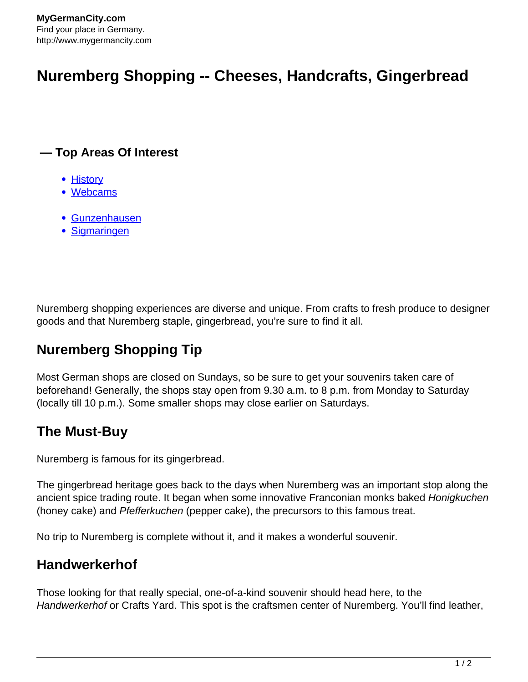# **Nuremberg Shopping -- Cheeses, Handcrafts, Gingerbread**

#### **— Top Areas Of Interest**

- [History](http://www.mygermancity.com/leipzig-history)
- [Webcams](http://www.mygermancity.com/neustadt-holstein-webcams)
- [Gunzenhausen](http://www.mygermancity.com/gunzenhausen)
- [Sigmaringen](http://www.mygermancity.com/sigmaringen)

Nuremberg shopping experiences are diverse and unique. From crafts to fresh produce to designer goods and that Nuremberg staple, gingerbread, you're sure to find it all.

# **Nuremberg Shopping Tip**

Most German shops are closed on Sundays, so be sure to get your souvenirs taken care of beforehand! Generally, the shops stay open from 9.30 a.m. to 8 p.m. from Monday to Saturday (locally till 10 p.m.). Some smaller shops may close earlier on Saturdays.

## **The Must-Buy**

Nuremberg is famous for its gingerbread.

The gingerbread heritage goes back to the days when Nuremberg was an important stop along the ancient spice trading route. It began when some innovative Franconian monks baked Honigkuchen (honey cake) and Pfefferkuchen (pepper cake), the precursors to this famous treat.

No trip to Nuremberg is complete without it, and it makes a wonderful souvenir.

## **Handwerkerhof**

Those looking for that really special, one-of-a-kind souvenir should head here, to the Handwerkerhof or Crafts Yard. This spot is the craftsmen center of Nuremberg. You'll find leather,